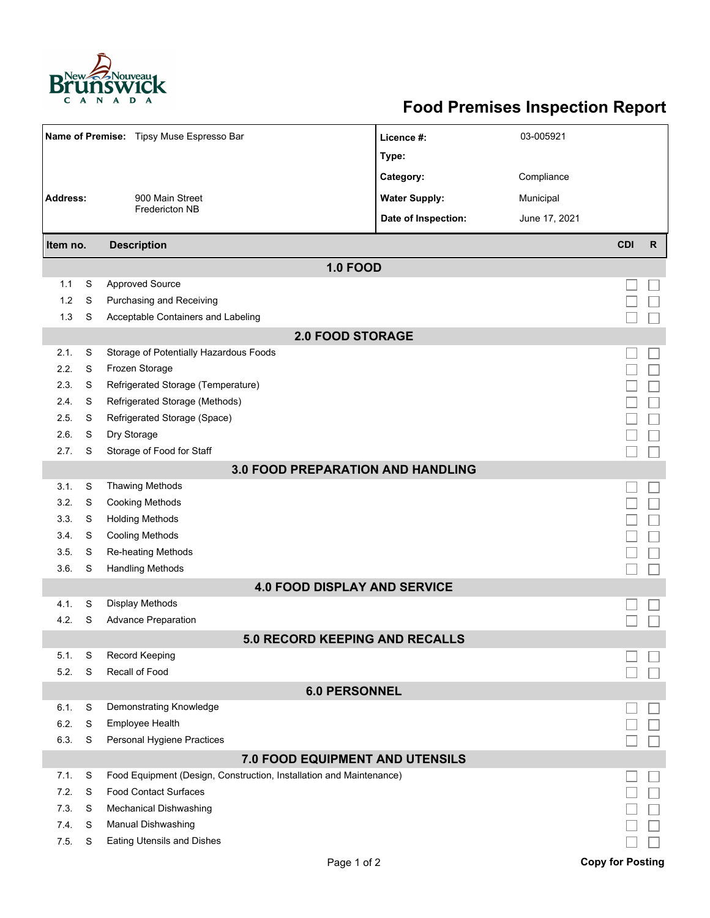

## **Food Premises Inspection Report**

| Name of Premise: Tipsy Muse Espresso Bar |        |                                                                     | Licence #:           | 03-005921     |                         |              |  |  |  |  |
|------------------------------------------|--------|---------------------------------------------------------------------|----------------------|---------------|-------------------------|--------------|--|--|--|--|
|                                          |        |                                                                     | Type:                |               |                         |              |  |  |  |  |
|                                          |        |                                                                     | Category:            | Compliance    |                         |              |  |  |  |  |
| <b>Address:</b>                          |        | 900 Main Street                                                     | <b>Water Supply:</b> | Municipal     |                         |              |  |  |  |  |
|                                          |        | <b>Fredericton NB</b>                                               | Date of Inspection:  | June 17, 2021 |                         |              |  |  |  |  |
|                                          |        |                                                                     |                      |               |                         |              |  |  |  |  |
| <b>Description</b><br>Item no.           |        |                                                                     |                      |               | <b>CDI</b>              | $\mathsf{R}$ |  |  |  |  |
| <b>1.0 FOOD</b>                          |        |                                                                     |                      |               |                         |              |  |  |  |  |
| 1.1                                      | S      | <b>Approved Source</b>                                              |                      |               |                         |              |  |  |  |  |
| 1.2                                      | S      | Purchasing and Receiving                                            |                      |               |                         |              |  |  |  |  |
| 1.3                                      | S      | Acceptable Containers and Labeling                                  |                      |               |                         |              |  |  |  |  |
| <b>2.0 FOOD STORAGE</b>                  |        |                                                                     |                      |               |                         |              |  |  |  |  |
| 2.1.                                     | S      | Storage of Potentially Hazardous Foods                              |                      |               |                         |              |  |  |  |  |
| 2.2.                                     | S      | Frozen Storage                                                      |                      |               |                         |              |  |  |  |  |
| 2.3.                                     | S      | Refrigerated Storage (Temperature)                                  |                      |               |                         |              |  |  |  |  |
| 2.4.                                     | S      | Refrigerated Storage (Methods)                                      |                      |               |                         |              |  |  |  |  |
| 2.5.                                     | S      | Refrigerated Storage (Space)                                        |                      |               |                         |              |  |  |  |  |
| 2.6.                                     | S      | Dry Storage                                                         |                      |               |                         |              |  |  |  |  |
| 2.7.                                     | S      | Storage of Food for Staff                                           |                      |               |                         |              |  |  |  |  |
| <b>3.0 FOOD PREPARATION AND HANDLING</b> |        |                                                                     |                      |               |                         |              |  |  |  |  |
| 3.1.                                     | S      | <b>Thawing Methods</b>                                              |                      |               |                         |              |  |  |  |  |
| 3.2.                                     | S      | <b>Cooking Methods</b>                                              |                      |               |                         |              |  |  |  |  |
| 3.3.                                     | S      | <b>Holding Methods</b>                                              |                      |               |                         |              |  |  |  |  |
| 3.4.                                     | S      | <b>Cooling Methods</b>                                              |                      |               |                         |              |  |  |  |  |
| 3.5.                                     | S<br>S | Re-heating Methods                                                  |                      |               |                         |              |  |  |  |  |
| 3.6.                                     |        | <b>Handling Methods</b><br><b>4.0 FOOD DISPLAY AND SERVICE</b>      |                      |               |                         |              |  |  |  |  |
| 4.1.                                     | S      | <b>Display Methods</b>                                              |                      |               |                         |              |  |  |  |  |
| 4.2.                                     | S      | <b>Advance Preparation</b>                                          |                      |               |                         |              |  |  |  |  |
|                                          |        | 5.0 RECORD KEEPING AND RECALLS                                      |                      |               |                         |              |  |  |  |  |
| 5.1.                                     | S      | Record Keeping                                                      |                      |               |                         |              |  |  |  |  |
| 5.2.                                     | S      | Recall of Food                                                      |                      |               |                         |              |  |  |  |  |
| <b>6.0 PERSONNEL</b>                     |        |                                                                     |                      |               |                         |              |  |  |  |  |
| 6.1.                                     | S      | Demonstrating Knowledge                                             |                      |               |                         |              |  |  |  |  |
| 6.2.                                     | S      | Employee Health                                                     |                      |               |                         |              |  |  |  |  |
| 6.3.                                     | S      | Personal Hygiene Practices                                          |                      |               |                         |              |  |  |  |  |
|                                          |        | 7.0 FOOD EQUIPMENT AND UTENSILS                                     |                      |               |                         |              |  |  |  |  |
| 7.1.                                     | S      | Food Equipment (Design, Construction, Installation and Maintenance) |                      |               |                         |              |  |  |  |  |
| 7.2.                                     | S      | <b>Food Contact Surfaces</b>                                        |                      |               |                         |              |  |  |  |  |
| 7.3.                                     | S      | <b>Mechanical Dishwashing</b>                                       |                      |               |                         |              |  |  |  |  |
| 7.4.                                     | S      | <b>Manual Dishwashing</b>                                           |                      |               |                         |              |  |  |  |  |
| 7.5.                                     | S      | <b>Eating Utensils and Dishes</b>                                   |                      |               |                         |              |  |  |  |  |
|                                          |        | Page 1 of 2                                                         |                      |               | <b>Copy for Posting</b> |              |  |  |  |  |